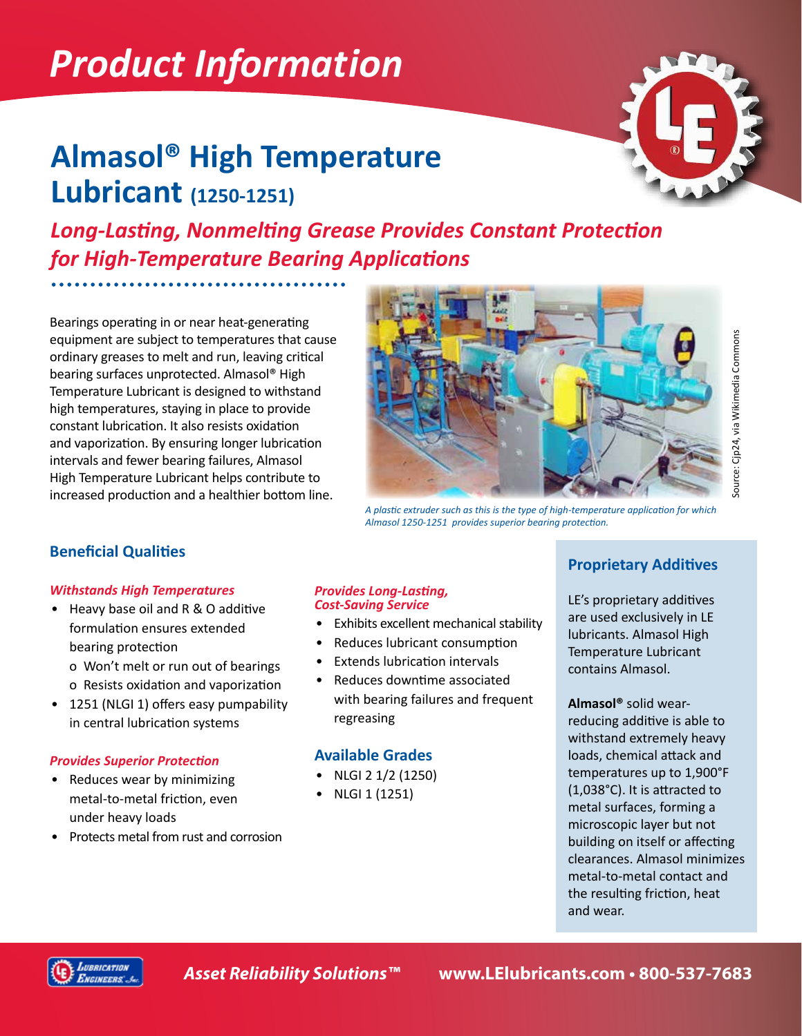# *Product Information*

# **Almasol® High Temperature Lubricant (1250-1251)**



*Long-Lasting, Nonmelting Grease Provides Constant Protection for High-Temperature Bearing Applications*

Bearings operating in or near heat-generating equipment are subject to temperatures that cause ordinary greases to melt and run, leaving critical bearing surfaces unprotected. Almasol® High Temperature Lubricant is designed to withstand high temperatures, staying in place to provide constant lubrication. It also resists oxidation and vaporization. By ensuring longer lubrication intervals and fewer bearing failures, Almasol High Temperature Lubricant helps contribute to increased production and a healthier bottom line.



*A plastic extruder such as this is the type of high-temperature application for which Almasol 1250-1251 provides superior bearing protection.*

## **Beneficial Qualities**

### *Withstands High Temperatures*

- Heavy base oil and R & O additive formulation ensures extended bearing protection
	- o Won't melt or run out of bearings
	- o Resists oxidation and vaporization
- 1251 (NLGI 1) offers easy pumpability in central lubrication systems

#### *Provides Superior Protection*

- Reduces wear by minimizing metal-to-metal friction, even under heavy loads
- Protects metal from rust and corrosion

#### *Provides Long-Lasting, Cost-Saving Service*

- Exhibits excellent mechanical stability
- Reduces lubricant consumption
- **Extends lubrication intervals**
- Reduces downtime associated with bearing failures and frequent regreasing

### **Available Grades**

- NLGI 2 1/2 (1250)
- NLGI 1 (1251)

## **Proprietary Additives**

LE's proprietary additives are used exclusively in LE lubricants. Almasol High Temperature Lubricant contains Almasol.

**Almasol®** solid wearreducing additive is able to withstand extremely heavy loads, chemical attack and temperatures up to 1,900°F (1,038°C). It is attracted to metal surfaces, forming a microscopic layer but not building on itself or affecting clearances. Almasol minimizes metal-to-metal contact and the resulting friction, heat and wear.



*Asset Reliability Solutions™* **www.LElubricants.com • 800-537-7683**